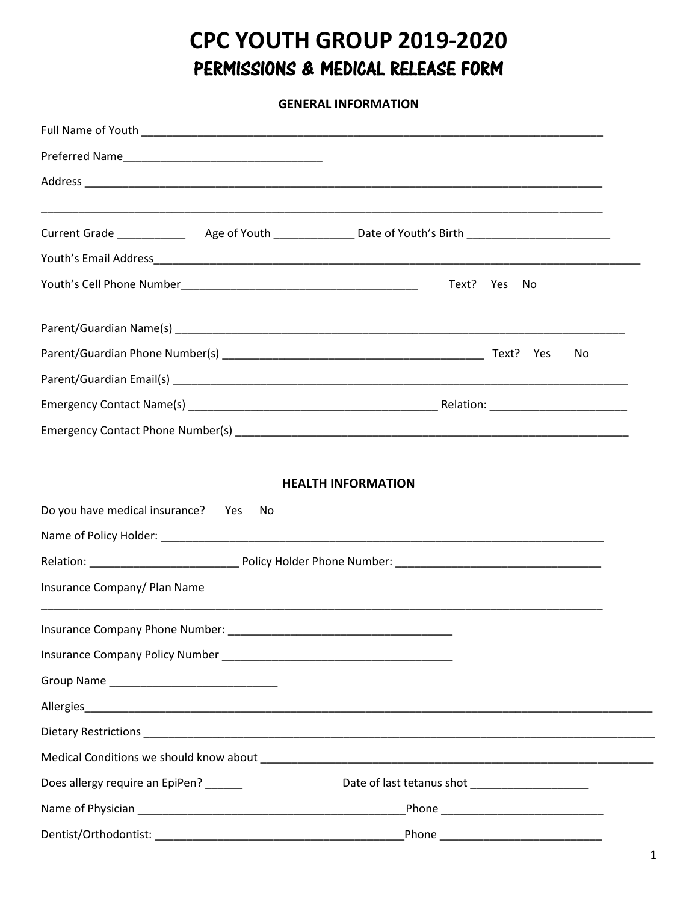# **CPC YOUTH GROUP 2019-2020** PERMISSIONS & MEDICAL RELEASE FORM

**GENERAL INFORMATION**

|                                       | Text? Yes<br>No |
|---------------------------------------|-----------------|
|                                       |                 |
|                                       | No.             |
|                                       |                 |
|                                       |                 |
|                                       |                 |
| Do you have medical insurance? Yes No |                 |
|                                       |                 |
| Insurance Company/ Plan Name          |                 |
| Insurance Company Phone Number:       |                 |
|                                       |                 |
|                                       |                 |
|                                       |                 |
|                                       |                 |
|                                       |                 |
| Does allergy require an EpiPen? _____ |                 |
|                                       |                 |
|                                       |                 |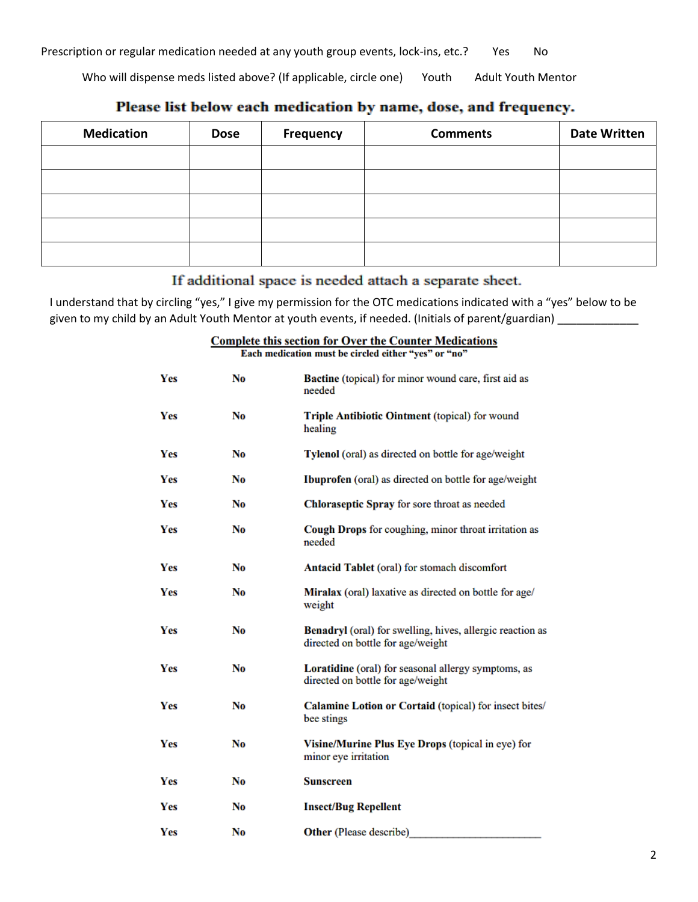Prescription or regular medication needed at any youth group events, lock-ins, etc.? Yes No

Who will dispense meds listed above? (If applicable, circle one) Youth Adult Youth Mentor

| <b>Medication</b> | <b>Dose</b> | <b>Frequency</b> | <b>Comments</b> | <b>Date Written</b> |
|-------------------|-------------|------------------|-----------------|---------------------|
|                   |             |                  |                 |                     |
|                   |             |                  |                 |                     |
|                   |             |                  |                 |                     |
|                   |             |                  |                 |                     |
|                   |             |                  |                 |                     |

## Please list below each medication by name, dose, and frequency.

### If additional space is needed attach a separate sheet.

I understand that by circling "yes," I give my permission for the OTC medications indicated with a "yes" below to be given to my child by an Adult Youth Mentor at youth events, if needed. (Initials of parent/guardian) \_\_\_\_\_\_\_\_\_\_

> **Complete this section for Over the Counter Medications** E no"

|  | " cach medication must be circled either "yes" or |  |  |  |  |  |  |  |
|--|---------------------------------------------------|--|--|--|--|--|--|--|
|--|---------------------------------------------------|--|--|--|--|--|--|--|

| Yes        | No             | Bactine (topical) for minor wound care, first aid as<br>needed                                 |
|------------|----------------|------------------------------------------------------------------------------------------------|
| Yes        | No             | Triple Antibiotic Ointment (topical) for wound<br>healing                                      |
| Yes        | No             | Tylenol (oral) as directed on bottle for age/weight                                            |
| Yes        | No             | Ibuprofen (oral) as directed on bottle for age/weight                                          |
| Yes        | No             | Chloraseptic Spray for sore throat as needed                                                   |
| Yes        | N <sub>0</sub> | Cough Drops for coughing, minor throat irritation as<br>needed                                 |
| <b>Yes</b> | No             | <b>Antacid Tablet</b> (oral) for stomach discomfort                                            |
| Yes        | N <sub>0</sub> | Miralax (oral) laxative as directed on bottle for age/<br>weight                               |
| Yes        | No.            | Benadryl (oral) for swelling, hives, allergic reaction as<br>directed on bottle for age/weight |
| Yes        | No             | Loratidine (oral) for seasonal allergy symptoms, as<br>directed on bottle for age/weight       |
| Yes        | No             | Calamine Lotion or Cortaid (topical) for insect bites/<br>bee stings                           |
| Yes        | No             | Visine/Murine Plus Eye Drops (topical in eye) for<br>minor eye irritation                      |
| Yes        | No             | <b>Sunscreen</b>                                                                               |
| Yes        | No             | <b>Insect/Bug Repellent</b>                                                                    |
| Yes        | No             | Other (Please describe)                                                                        |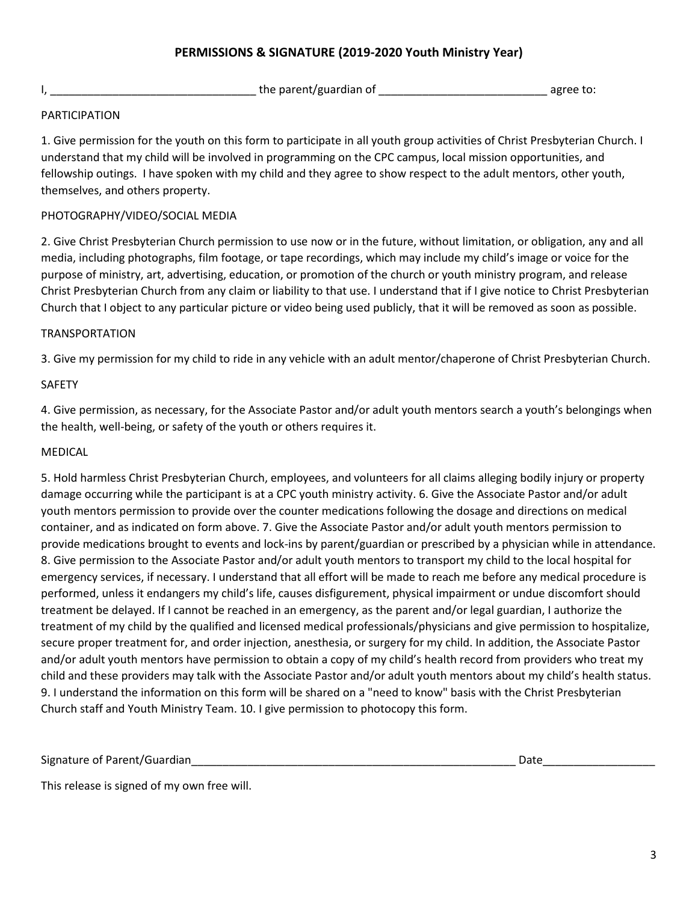### **PERMISSIONS & SIGNATURE (2019-2020 Youth Ministry Year)**

I, \_\_\_\_\_\_\_\_\_\_\_\_\_\_\_\_\_\_\_\_\_\_\_\_\_\_\_\_\_\_\_\_\_ the parent/guardian of \_\_\_\_\_\_\_\_\_\_\_\_\_\_\_\_\_\_\_\_\_\_\_\_\_\_\_ agree to:

#### PARTICIPATION

1. Give permission for the youth on this form to participate in all youth group activities of Christ Presbyterian Church. I understand that my child will be involved in programming on the CPC campus, local mission opportunities, and fellowship outings. I have spoken with my child and they agree to show respect to the adult mentors, other youth, themselves, and others property.

#### PHOTOGRAPHY/VIDEO/SOCIAL MEDIA

2. Give Christ Presbyterian Church permission to use now or in the future, without limitation, or obligation, any and all media, including photographs, film footage, or tape recordings, which may include my child's image or voice for the purpose of ministry, art, advertising, education, or promotion of the church or youth ministry program, and release Christ Presbyterian Church from any claim or liability to that use. I understand that if I give notice to Christ Presbyterian Church that I object to any particular picture or video being used publicly, that it will be removed as soon as possible.

#### TRANSPORTATION

3. Give my permission for my child to ride in any vehicle with an adult mentor/chaperone of Christ Presbyterian Church.

#### SAFETY

4. Give permission, as necessary, for the Associate Pastor and/or adult youth mentors search a youth's belongings when the health, well-being, or safety of the youth or others requires it.

#### MEDICAL

5. Hold harmless Christ Presbyterian Church, employees, and volunteers for all claims alleging bodily injury or property damage occurring while the participant is at a CPC youth ministry activity. 6. Give the Associate Pastor and/or adult youth mentors permission to provide over the counter medications following the dosage and directions on medical container, and as indicated on form above. 7. Give the Associate Pastor and/or adult youth mentors permission to provide medications brought to events and lock-ins by parent/guardian or prescribed by a physician while in attendance. 8. Give permission to the Associate Pastor and/or adult youth mentors to transport my child to the local hospital for emergency services, if necessary. I understand that all effort will be made to reach me before any medical procedure is performed, unless it endangers my child's life, causes disfigurement, physical impairment or undue discomfort should treatment be delayed. If I cannot be reached in an emergency, as the parent and/or legal guardian, I authorize the treatment of my child by the qualified and licensed medical professionals/physicians and give permission to hospitalize, secure proper treatment for, and order injection, anesthesia, or surgery for my child. In addition, the Associate Pastor and/or adult youth mentors have permission to obtain a copy of my child's health record from providers who treat my child and these providers may talk with the Associate Pastor and/or adult youth mentors about my child's health status. 9. I understand the information on this form will be shared on a "need to know" basis with the Christ Presbyterian Church staff and Youth Ministry Team. 10. I give permission to photocopy this form.

Signature of Parent/Guardian\_\_\_\_\_\_\_\_\_\_\_\_\_\_\_\_\_\_\_\_\_\_\_\_\_\_\_\_\_\_\_\_\_\_\_\_\_\_\_\_\_\_\_\_\_\_\_\_\_\_\_\_ Date\_\_\_\_\_\_\_\_\_\_\_\_\_\_\_\_\_\_

This release is signed of my own free will.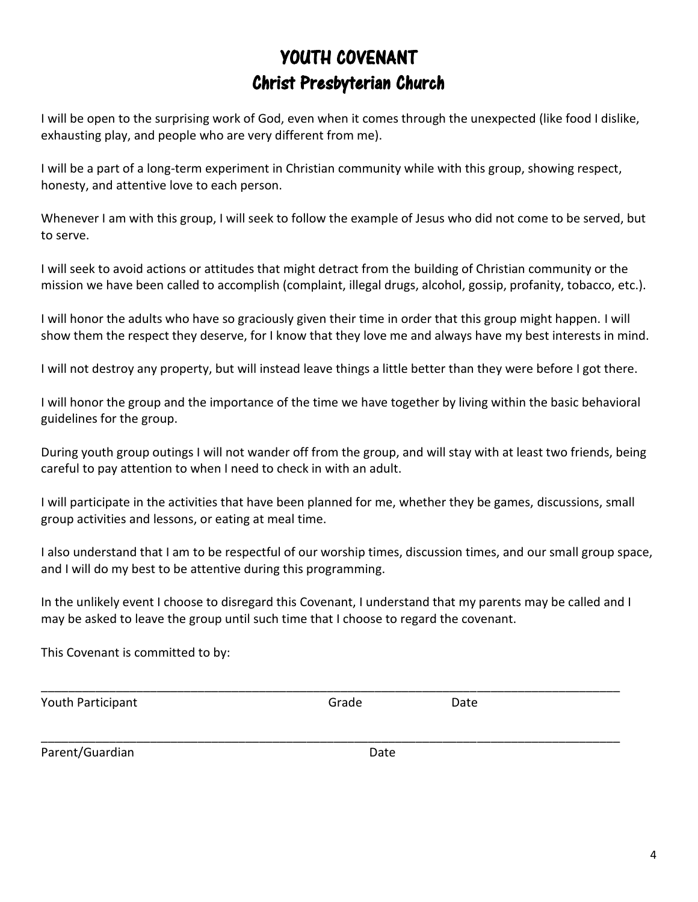## YOUTH COVENANT Christ Presbyterian Church

I will be open to the surprising work of God, even when it comes through the unexpected (like food I dislike, exhausting play, and people who are very different from me).

I will be a part of a long-term experiment in Christian community while with this group, showing respect, honesty, and attentive love to each person.

Whenever I am with this group, I will seek to follow the example of Jesus who did not come to be served, but to serve.

I will seek to avoid actions or attitudes that might detract from the building of Christian community or the mission we have been called to accomplish (complaint, illegal drugs, alcohol, gossip, profanity, tobacco, etc.).

I will honor the adults who have so graciously given their time in order that this group might happen. I will show them the respect they deserve, for I know that they love me and always have my best interests in mind.

I will not destroy any property, but will instead leave things a little better than they were before I got there.

I will honor the group and the importance of the time we have together by living within the basic behavioral guidelines for the group.

During youth group outings I will not wander off from the group, and will stay with at least two friends, being careful to pay attention to when I need to check in with an adult.

I will participate in the activities that have been planned for me, whether they be games, discussions, small group activities and lessons, or eating at meal time.

I also understand that I am to be respectful of our worship times, discussion times, and our small group space, and I will do my best to be attentive during this programming.

In the unlikely event I choose to disregard this Covenant, I understand that my parents may be called and I may be asked to leave the group until such time that I choose to regard the covenant.

\_\_\_\_\_\_\_\_\_\_\_\_\_\_\_\_\_\_\_\_\_\_\_\_\_\_\_\_\_\_\_\_\_\_\_\_\_\_\_\_\_\_\_\_\_\_\_\_\_\_\_\_\_\_\_\_\_\_\_\_\_\_\_\_\_\_\_\_\_\_\_\_\_\_\_\_\_\_\_\_\_\_\_\_\_

\_\_\_\_\_\_\_\_\_\_\_\_\_\_\_\_\_\_\_\_\_\_\_\_\_\_\_\_\_\_\_\_\_\_\_\_\_\_\_\_\_\_\_\_\_\_\_\_\_\_\_\_\_\_\_\_\_\_\_\_\_\_\_\_\_\_\_\_\_\_\_\_\_\_\_\_\_\_\_\_\_\_\_\_\_

This Covenant is committed to by:

Youth Participant Contract Contract Contract Contract Contract Contract Contract Contract Contract Contract Contract Contract Contract Contract Contract Contract Contract Contract Contract Contract Contract Contract Contra

Parent/Guardian Date